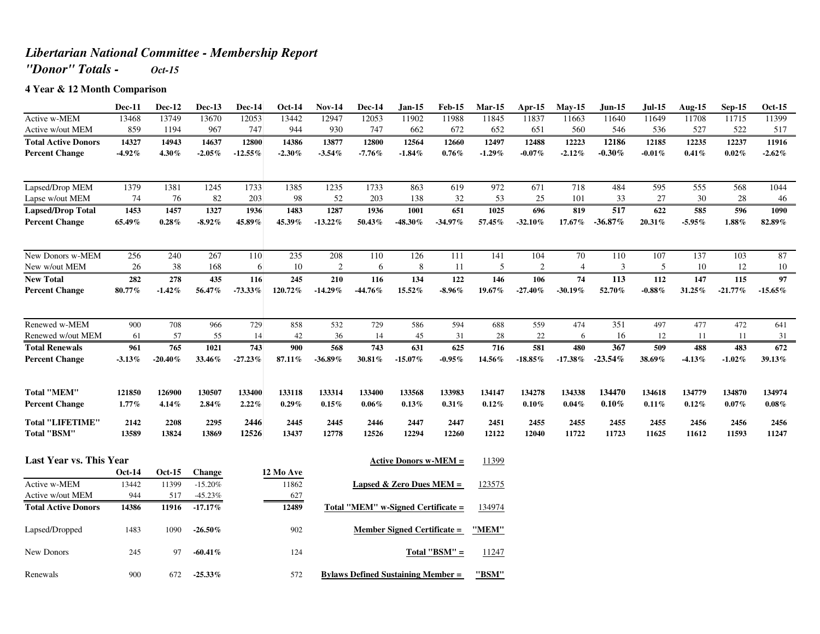## *Libertarian National Committee - Membership Report*

*"Donor" Totals - Oct-15*

## **4 Year & 12 Month Comparison**

|                                               | <b>Dec-11</b> | Dec-12        | Dec-13        | Dec-14        | <b>Oct-14</b> | <b>Nov-14</b> | <b>Dec-14</b>            | Jan-15                       | <b>Feb-15</b> | $Mar-15$      | Apr-15        | $May-15$       | <b>Jun-15</b> | Jul-15        | Aug-15        | $Sep-15$      | <b>Oct-15</b> |
|-----------------------------------------------|---------------|---------------|---------------|---------------|---------------|---------------|--------------------------|------------------------------|---------------|---------------|---------------|----------------|---------------|---------------|---------------|---------------|---------------|
| Active w-MEM                                  | 13468         | 13749         | 13670         | 12053         | 13442         | 12947         | 12053                    | 11902                        | 11988         | 11845         | 11837         | 11663          | 11640         | 11649         | 11708         | 11715         | 11399         |
| Active w/out MEM                              | 859           | 1194          | 967           | 747           | 944           | 930           | 747                      | 662                          | 672           | 652           | 651           | 560            | 546           | 536           | 527           | 522           | 517           |
| <b>Total Active Donors</b>                    | 14327         | 14943         | 14637         | 12800         | 14386         | 13877         | 12800                    | 12564                        | 12660         | 12497         | 12488         | 12223          | 12186         | 12185         | 12235         | 12237         | 11916         |
| <b>Percent Change</b>                         | $-4.92%$      | 4.30%         | $-2.05\%$     | $-12.55\%$    | $-2.30\,\%$   | $-3.54%$      | $-7.76\%$                | $-1.84%$                     | 0.76%         | $-1.29%$      | $-0.07\%$     | $-2.12%$       | $-0.30\%$     | $-0.01\%$     | 0.41%         | 0.02%         | $-2.62%$      |
| Lapsed/Drop MEM                               | 1379          | 1381          | 1245          | 1733          | 1385          | 1235          | 1733                     | 863                          | 619           | 972           | 671           | 718            | 484           | 595           | 555           | 568           | 1044          |
| Lapse w/out MEM                               | 74            | 76            | 82            | 203           | 98            | 52            | 203                      | 138                          | 32            | 53            | 25            | 101            | 33            | 27            | 30            | 28            | 46            |
| <b>Lapsed/Drop Total</b>                      | 1453          | 1457          | 1327          | 1936          | 1483          | 1287          | 1936                     | 1001                         | 651           | 1025          | 696           | 819            | 517           | 622           | 585           | 596           | 1090          |
| <b>Percent Change</b>                         | 65.49%        | 0.28%         | $-8.92%$      | 45.89%        | 45.39%        | $-13.22%$     | 50.43%                   | $-48.30\%$                   | $-34.97\%$    | 57.45%        | $-32.10\%$    | $17.67\%$      | $-36.87\%$    | 20.31%        | $-5.95%$      | $1.88\%$      | 82.89%        |
| New Donors w-MEM                              | 256           | 240           | 267           | 110           | 235           | 208           | 110                      | 126                          | 111           | 141           | 104           | 70             | 110           | 107           | 137           | 103           | 87            |
| New w/out MEM                                 | 26            | 38            | 168           | 6             | 10            | 2             | 6                        | 8                            | 11            | 5             | 2             | $\overline{4}$ | 3             | -5            | 10            | 12            | 10            |
| <b>New Total</b>                              | 282           | 278           | 435           | 116           | 245           | 210           | 116                      | 134                          | 122           | 146           | 106           | 74             | 113           | 112           | 147           | 115           | 97            |
| <b>Percent Change</b>                         | 80.77%        | $-1.42\%$     | 56.47%        | $-73.33\%$    | 120.72%       | $-14.29\%$    | $-44.76\%$               | 15.52%                       | $-8.96\%$     | 19.67%        | $-27.40\%$    | $-30.19\%$     | 52.70%        | $-0.88\%$     | 31.25%        | $-21.77\%$    | $-15.65\%$    |
| Renewed w-MEM                                 | 900           | 708           | 966           | 729           | 858           | 532           | 729                      | 586                          | 594           | 688           | 559           | 474            | 351           | 497           | 477           | 472           | 641           |
| Renewed w/out MEM                             | 61            | 57            | 55            | 14            | 42            | 36            | 14                       | 45                           | 31            | 28            | 22            | 6              | 16            | 12            | -11           | -11           | 31            |
| <b>Total Renewals</b>                         | 961           | 765           | 1021          | 743           | 900           | 568           | 743                      | 631                          | 625           | 716           | 581           | 480            | 367           | 509           | 488           | 483           | 672           |
| <b>Percent Change</b>                         | $-3.13\%$     | $-20.40%$     | 33.46%        | $-27.23%$     | 87.11%        | $-36.89\%$    | 30.81%                   | $-15.07\%$                   | $-0.95\%$     | 14.56%        | $-18.85\%$    | $-17.38\%$     | $-23.54\%$    | 38.69%        | $-4.13%$      | $-1.02\%$     | 39.13%        |
| <b>Total "MEM"</b>                            | 121850        | 126900        | 130507        | 133400        | 133118        | 133314        | 133400                   | 133568                       | 133983        | 134147        | 134278        | 134338         | 134470        | 134618        | 134779        | 134870        | 134974        |
| <b>Percent Change</b>                         | 1.77%         | 4.14%         | 2.84%         | 2.22%         | 0.29%         | 0.15%         | $0.06\%$                 | 0.13%                        | $0.31\%$      | 0.12%         | 0.10%         | 0.04%          | $0.10\%$      | 0.11%         | 0.12%         | $0.07\%$      | $0.08\%$      |
| <b>Total "LIFETIME"</b><br><b>Total "BSM"</b> | 2142<br>13589 | 2208<br>13824 | 2295<br>13869 | 2446<br>12526 | 2445<br>13437 | 2445<br>12778 | 2446<br>12526            | 2447<br>12294                | 2447<br>12260 | 2451<br>12122 | 2455<br>12040 | 2455<br>11722  | 2455<br>11723 | 2455<br>11625 | 2456<br>11612 | 2456<br>11593 | 2456<br>11247 |
| <b>Last Year vs. This Year</b>                |               |               |               |               |               |               |                          | <b>Active Donors w-MEM =</b> |               | 11399         |               |                |               |               |               |               |               |
|                                               | <b>Oct-14</b> | $Oct-15$      | Change        |               | 12 Mo Ave     |               |                          |                              |               |               |               |                |               |               |               |               |               |
| Active w-MEM                                  | 13442         | 11399         | $-15.20%$     |               | 11862         |               | Lapsed & Zero Dues MEM = |                              |               | 123575        |               |                |               |               |               |               |               |
| Active w/out MEM                              | 944           | 517           | $-45.23%$     |               | 627           |               |                          |                              |               |               |               |                |               |               |               |               |               |

| Active w/out MEM           | 944   | 517   | $-45.23\%$ | 627   |                                           |        |
|----------------------------|-------|-------|------------|-------|-------------------------------------------|--------|
| <b>Total Active Donors</b> | 14386 | 11916 | $-17.17\%$ | 12489 | Total "MEM" w-Signed Certificate =        | 134974 |
| Lapsed/Dropped             | 1483  | 1090  | $-26.50\%$ | 902   | <b>Member Signed Certificate =</b>        | "MEM"  |
| New Donors                 | 245   | 97    | $-60.41\%$ | 124   | Total " $BSM" =$                          | 11247  |
| Renewals                   | 900   | 672   | $-25.33\%$ | 572   | <b>Bylaws Defined Sustaining Member =</b> | "BSM"  |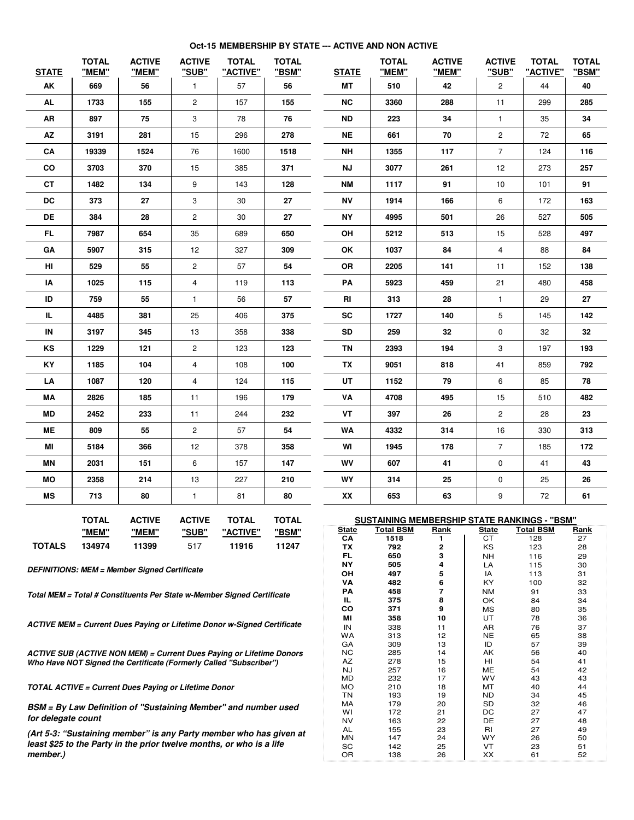## **Oct-15 MEMBERSHIP BY STATE --- ACTIVE AND NON ACTIVE**

| <b>STATE</b>       | <b>TOTAL</b><br>"MEM" | <b>ACTIVE</b><br>"MEM"                                                         | <b>ACTIVE</b><br>"SUB" | <b>TOTAL</b><br>"ACTIVE" | <b>TOTAL</b><br>"BSM" | <b>STATE</b>       | <b>TOTAL</b><br>"MEM"    | <b>ACTIVE</b><br>"MEM"                       | <b>ACTIVE</b><br>"SUB" | <b>TOTAL</b><br>"ACTIVE" | <b>TOTAL</b><br>"BSM" |
|--------------------|-----------------------|--------------------------------------------------------------------------------|------------------------|--------------------------|-----------------------|--------------------|--------------------------|----------------------------------------------|------------------------|--------------------------|-----------------------|
| AK                 | 669                   | 56                                                                             | $\mathbf{1}$           | 57                       | 56                    | МT                 | 510                      | 42                                           | $\overline{2}$         | 44                       | 40                    |
| <b>AL</b>          | 1733                  | 155                                                                            | 2                      | 157                      | 155                   | <b>NC</b>          | 3360                     | 288                                          | 11                     | 299                      | 285                   |
| AR                 | 897                   | 75                                                                             | 3                      | 78                       | 76                    | <b>ND</b>          | 223                      | 34                                           | $\mathbf{1}$           | 35                       | 34                    |
| AZ                 | 3191                  | 281                                                                            | 15                     | 296                      | 278                   | <b>NE</b>          | 661                      | 70                                           | $\overline{c}$         | 72                       | 65                    |
| CA                 | 19339                 | 1524                                                                           | 76                     | 1600                     | 1518                  | <b>NH</b>          | 1355                     | 117                                          | $\overline{7}$         | 124                      | 116                   |
| CO                 | 3703                  | 370                                                                            | 15                     | 385                      | 371                   | <b>NJ</b>          | 3077                     | 261                                          | 12                     | 273                      | 257                   |
| <b>CT</b>          | 1482                  | 134                                                                            | 9                      | 143                      | 128                   | <b>NM</b>          | 1117                     | 91                                           | 10                     | 101                      | 91                    |
| DC                 | 373                   | 27                                                                             | 3                      | 30                       | 27                    | ΝV                 | 1914                     | 166                                          | 6                      | 172                      | 163                   |
| DE                 | 384                   | 28                                                                             | $\overline{c}$         | 30                       | 27                    | <b>NY</b>          | 4995                     | 501                                          | 26                     | 527                      | 505                   |
| FL.                | 7987                  | 654                                                                            | 35                     | 689                      | 650                   | OH                 | 5212                     | 513                                          | 15                     | 528                      | 497                   |
| GА                 | 5907                  | 315                                                                            | 12                     | 327                      | 309                   | ΟK                 | 1037                     | 84                                           | 4                      | 88                       | 84                    |
| HI                 | 529                   | 55                                                                             | $\overline{c}$         | 57                       | 54                    | OR                 | 2205                     | 141                                          | 11                     | 152                      | 138                   |
| ΙA                 | 1025                  | 115                                                                            | 4                      | 119                      | 113                   | PA                 | 5923                     | 459                                          | 21                     | 480                      | 458                   |
| ID                 | 759                   | 55                                                                             | $\mathbf{1}$           | 56                       | 57                    | RI                 | 313                      | 28                                           | 1                      | 29                       | 27                    |
| IL.                | 4485                  | 381                                                                            | 25                     | 406                      | 375                   | <b>SC</b>          | 1727                     | 140                                          | 5                      | 145                      | 142                   |
| IN                 | 3197                  | 345                                                                            | 13                     | 358                      | 338                   | <b>SD</b>          | 259                      | 32                                           | 0                      | 32                       | 32                    |
| ΚS                 | 1229                  | 121                                                                            | $\overline{c}$         | 123                      | 123                   | ΤN                 | 2393                     | 194                                          | 3                      | 197                      | 193                   |
| KY                 | 1185                  | 104                                                                            | 4                      | 108                      | 100                   | TX                 | 9051                     | 818                                          | 41                     | 859                      | 792                   |
| LA                 | 1087                  | 120                                                                            | 4                      | 124                      | 115                   | UT                 | 1152                     | 79                                           | 6                      | 85                       | 78                    |
| ΜA                 | 2826                  | 185                                                                            | 11                     | 196                      | 179                   | VA                 | 4708                     | 495                                          | 15                     | 510                      | 482                   |
| MD                 | 2452                  | 233                                                                            | 11                     | 244                      | 232                   | VT                 | 397                      | 26                                           | $\overline{2}$         | 28                       | 23                    |
| MЕ                 | 809                   | 55                                                                             | 2                      | 57                       | 54                    | WA                 | 4332                     | 314                                          | 16                     | 330                      | 313                   |
| ΜI                 | 5184                  | 366                                                                            | 12                     | 378                      | 358                   | WI                 | 1945                     | 178                                          | $\overline{7}$         | 185                      | 172                   |
| ΜN                 | 2031                  | 151                                                                            | 6                      | 157                      | 147                   | WV                 | 607                      | 41                                           | 0                      | 41                       | 43                    |
| <b>MO</b>          | 2358                  | 214                                                                            | 13                     | 227                      | 210                   | WY                 | 314                      | 25                                           | 0                      | 25                       | 26                    |
| <b>MS</b>          | 713                   | 80                                                                             | $\mathbf{1}$           | 81                       | 80                    | XX                 | 653                      | 63                                           | 9                      | 72                       | 61                    |
|                    | <b>TOTAL</b>          | <b>ACTIVE</b>                                                                  | <b>ACTIVE</b>          | <b>TOTAL</b>             | <b>TOTAL</b>          |                    |                          | SUSTAINING MEMBERSHIP STATE RANKINGS - "BSM" |                        |                          |                       |
|                    | <u>"MEM"</u>          | <u>"MEM"</u>                                                                   | "SUB"                  | "ACTIVE"                 | <u>"BSM"</u>          | <u>State</u><br>CA | <u>Total BSM</u><br>1518 | <u>Rank</u><br>1                             | <u>State</u><br>CТ     | <b>Total BSM</b><br>128  | <u>Rank</u><br>27     |
| <b>TOTALS</b>      | 134974                | 11399                                                                          | 517                    | 11916                    | 11247                 | ΤХ                 | 792                      | 2                                            | ΚS                     | 123                      | 28                    |
|                    |                       |                                                                                |                        |                          |                       | FL<br>NΥ           | 650<br>505               | З<br>4                                       | NΗ<br>LA               | 116<br>115               | 29<br>30              |
|                    |                       | <b>DEFINITIONS: MEM = Member Signed Certificate</b>                            |                        |                          | OН                    | 497                | 5                        | IA                                           | 113                    | 31                       |                       |
|                    |                       |                                                                                |                        |                          | VA                    | 482                | 6                        | ΚY                                           | 100                    | 32                       |                       |
|                    |                       | Total MEM = Total # Constituents Per State w-Member Signed Certificate         |                        |                          | PА<br>ᄔ               | 458<br>375         | 7<br>8                   | NM<br>OK                                     | 91<br>84               | 33<br>34                 |                       |
|                    |                       |                                                                                |                        |                          |                       | CO                 | 371                      | 9                                            | MS                     | 80                       | 35                    |
|                    |                       |                                                                                |                        |                          |                       | MI                 | 358                      | 10                                           | UT                     | 78                       | 36                    |
|                    |                       | <b>ACTIVE MEM = Current Dues Paying or Lifetime Donor w-Signed Certificate</b> |                        |                          |                       | IN                 | 338                      | 11                                           | AR                     | 76                       | 37                    |
|                    |                       |                                                                                |                        |                          |                       | WA<br>GА           | 313<br>309               | 12<br>13                                     | NE<br>ID               | 65<br>57                 | 38<br>39              |
|                    |                       | <b>ACTIVE SUB (ACTIVE NON MEM) = Current Dues Paying or Lifetime Donors</b>    |                        |                          | <b>NC</b>             | 285                | 14                       | АK                                           | 56                     | 40                       |                       |
|                    |                       | Who Have NOT Signed the Certificate (Formerly Called "Subscriber")             |                        |                          |                       | AZ                 | 278                      | 15                                           | HI                     | 54                       | 41                    |
|                    |                       |                                                                                |                        |                          |                       | NJ                 | 257                      | 16                                           | MЕ                     | 54                       | 42                    |
|                    |                       | <b>TOTAL ACTIVE = Current Dues Paying or Lifetime Donor</b>                    |                        |                          |                       | MD<br>МO           | 232<br>210               | 17<br>18                                     | wv<br>МT               | 43<br>40                 | 43<br>44              |
|                    |                       |                                                                                |                        |                          |                       | ΤN                 | 193                      | 19                                           | ND                     | 34                       | 45                    |
|                    |                       | BSM = By Law Definition of "Sustaining Member" and number used                 |                        |                          | МA                    | 179                | 20                       | SD                                           | 32                     | 46                       |                       |
| for delegate count |                       |                                                                                |                        |                          | WI<br><b>NV</b>       | 172<br>163         | 21<br>22                 | DC<br>DE                                     | 27<br>27               | 47<br>48                 |                       |
|                    |                       |                                                                                |                        |                          |                       | AL                 | 155                      | 23                                           | RI                     | 27                       | 49                    |
|                    |                       | (Art 5-3: "Sustaining member" is any Party member who has given at             |                        |                          | MΝ                    | 147                | 24                       | WY                                           | 26                     | 50                       |                       |
| member.)           |                       | least \$25 to the Party in the prior twelve months, or who is a life           |                        |                          | SC<br>OR              | 142<br>138         | 25<br>26                 | VT<br>XX                                     | 23<br>61               | 51<br>52                 |                       |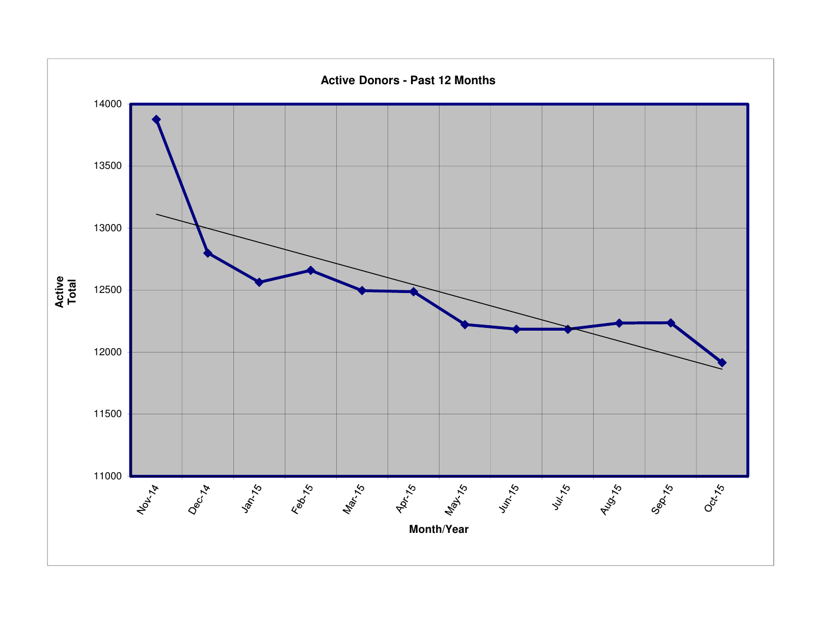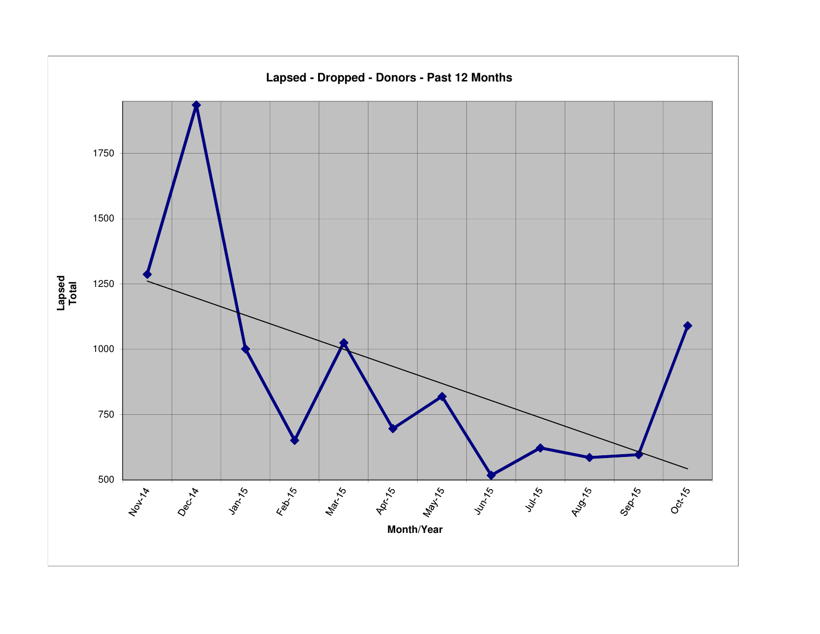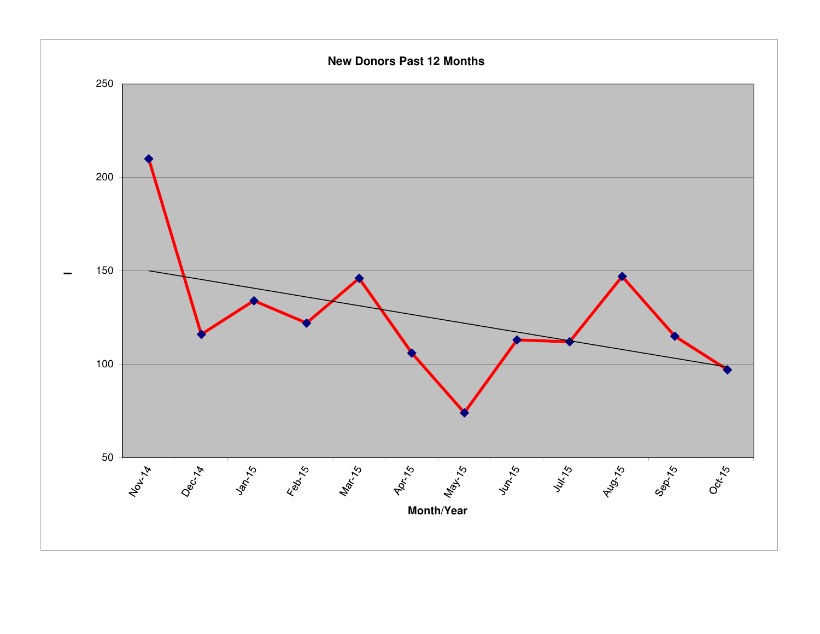